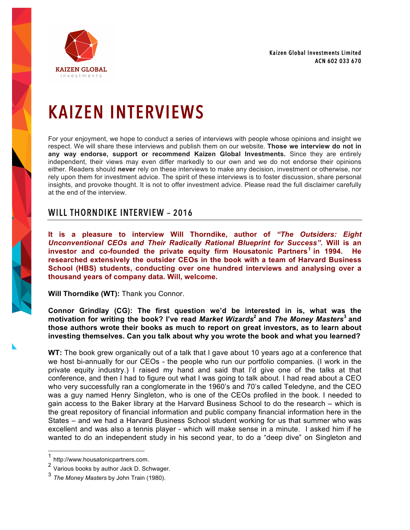Kaizen Global Investments Limited ACN 602 033 670



# KAIZEN INTERVIEWS

For your enjoyment, we hope to conduct a series of interviews with people whose opinions and insight we respect. We will share these interviews and publish them on our website. **Those we interview do not in any way endorse, support or recommend Kaizen Global Investments.** Since they are entirely independent, their views may even differ markedly to our own and we do not endorse their opinions either. Readers should **never** rely on these interviews to make any decision, investment or otherwise, nor rely upon them for investment advice. The spirit of these interviews is to foster discussion, share personal insights, and provoke thought. It is not to offer investment advice. Please read the full disclaimer carefully at the end of the interview.

## WILL THORNDIKE INTERVIEW – 2016

**It is a pleasure to interview Will Thorndike, author of** *"The Outsiders: Eight Unconventional CEOs and Their Radically Rational Blueprint for Success"***. Will is an investor and co-founded the private equity firm Housatonic Partners<sup>1</sup> in 1994. He researched extensively the outsider CEOs in the book with a team of Harvard Business School (HBS) students, conducting over one hundred interviews and analysing over a thousand years of company data. Will, welcome.**

**Will Thorndike (WT):** Thank you Connor.

**Connor Grindlay (CG): The first question we'd be interested in is, what was the motivation for writing the book? I've read** *Market Wizards***<sup>2</sup> and** *The Money Masters***<sup>3</sup> and those authors wrote their books as much to report on great investors, as to learn about investing themselves. Can you talk about why you wrote the book and what you learned?**

**WT:** The book grew organically out of a talk that I gave about 10 years ago at a conference that we host bi-annually for our CEOs - the people who run our portfolio companies. (I work in the private equity industry.) I raised my hand and said that I'd give one of the talks at that conference, and then I had to figure out what I was going to talk about. I had read about a CEO who very successfully ran a conglomerate in the 1960's and 70's called Teledyne, and the CEO was a guy named Henry Singleton, who is one of the CEOs profiled in the book. I needed to gain access to the Baker library at the Harvard Business School to do the research – which is the great repository of financial information and public company financial information here in the States – and we had a Harvard Business School student working for us that summer who was excellent and was also a tennis player - which will make sense in a minute. I asked him if he wanted to do an independent study in his second year, to do a "deep dive" on Singleton and

http://www.housatonicpartners.com.

<sup>2</sup> Various books by author Jack D. Schwager.

<sup>3</sup> *The Money Masters* by John Train (1980).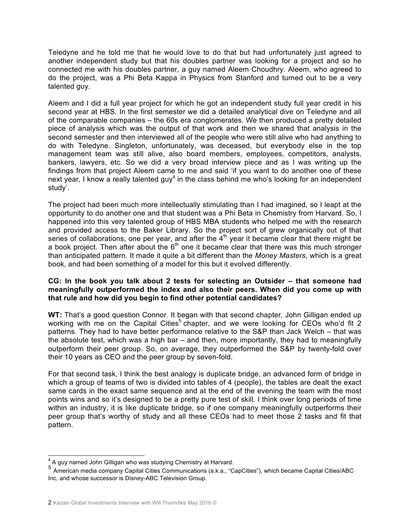Teledyne and he told me that he would love to do that but had unfortunately just agreed to another independent study but that his doubles partner was looking for a project and so he connected me with his doubles partner, a guy named Aleem Choudhry. Aleem, who agreed to do the project, was a Phi Beta Kappa in Physics from Stanford and turned out to be a very talented guy.

Aleem and I did a full year project for which he got an independent study full year credit in his second year at HBS. In the first semester we did a detailed analytical dive on Teledyne and all of the comparable companies – the 60s era conglomerates. We then produced a pretty detailed piece of analysis which was the output of that work and then we shared that analysis in the second semester and then interviewed all of the people who were still alive who had anything to do with Teledyne. Singleton, unfortunately, was deceased, but everybody else in the top management team was still alive, also board members, employees, competitors, analysts, bankers, lawyers, etc. So we did a very broad interview piece and as I was writing up the findings from that project Aleem came to me and said 'if you want to do another one of these next year, I know a really talented guy<sup>4</sup> in the class behind me who's looking for an independent study'.

The project had been much more intellectually stimulating than I had imagined, so I leapt at the opportunity to do another one and that student was a Phi Beta in Chemistry from Harvard. So, I happened into this very talented group of HBS MBA students who helped me with the research and provided access to the Baker Library. So the project sort of grew organically out of that series of collaborations, one per year, and after the  $4<sup>th</sup>$  year it became clear that there might be a book project. Then after about the  $6<sup>th</sup>$  one it became clear that there was this much stronger than anticipated pattern. It made it quite a bit different than the *Money Masters*, which is a great book, and had been something of a model for this but it evolved differently.

#### **CG: In the book you talk about 2 tests for selecting an Outsider – that someone had meaningfully outperformed the index and also their peers. When did you come up with that rule and how did you begin to find other potential candidates?**

**WT:** That's a good question Connor. It began with that second chapter, John Gilligan ended up working with me on the Capital Cities<sup>5</sup> chapter, and we were looking for CEOs who'd fit 2 patterns. They had to have better performance relative to the S&P than Jack Welch – that was the absolute test, which was a high bar – and then, more importantly, they had to meaningfully outperform their peer group. So, on average, they outperformed the S&P by twenty-fold over their 10 years as CEO and the peer group by seven-fold.

For that second task, I think the best analogy is duplicate bridge, an advanced form of bridge in which a group of teams of two is divided into tables of 4 (people), the tables are dealt the exact same cards in the exact same sequence and at the end of the evening the team with the most points wins and so it's designed to be a pretty pure test of skill. I think over long periods of time within an industry, it is like duplicate bridge, so if one company meaningfully outperforms their peer group that's worthy of study and all these CEOs had to meet those 2 tasks and fit that pattern.

<sup>&</sup>lt;sup>4</sup> A guy named John Gilligan who was studying Chemistry at Harvard.

<sup>5</sup> American media company Capital Cities Communications (a.k.a., "CapCities"), which became Capital Cities/ABC Inc, and whose successor is Disney-ABC Television Group.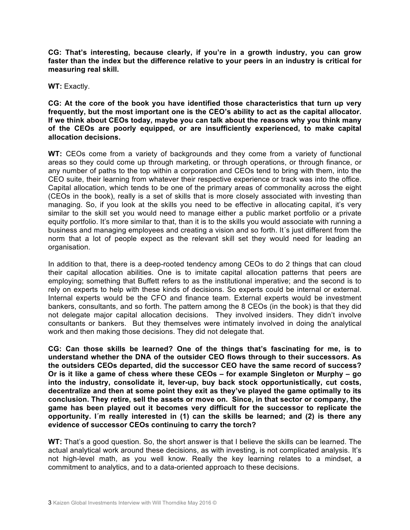**CG: That's interesting, because clearly, if you're in a growth industry, you can grow faster than the index but the difference relative to your peers in an industry is critical for measuring real skill.** 

**WT:** Exactly.

**CG: At the core of the book you have identified those characteristics that turn up very frequently, but the most important one is the CEO's ability to act as the capital allocator. If we think about CEOs today, maybe you can talk about the reasons why you think many of the CEOs are poorly equipped, or are insufficiently experienced, to make capital allocation decisions.**

WT: CEOs come from a variety of backgrounds and they come from a variety of functional areas so they could come up through marketing, or through operations, or through finance, or any number of paths to the top within a corporation and CEOs tend to bring with them, into the CEO suite, their learning from whatever their respective experience or track was into the office. Capital allocation, which tends to be one of the primary areas of commonality across the eight (CEOs in the book), really is a set of skills that is more closely associated with investing than managing. So, if you look at the skills you need to be effective in allocating capital, it's very similar to the skill set you would need to manage either a public market portfolio or a private equity portfolio. It's more similar to that, than it is to the skills you would associate with running a business and managing employees and creating a vision and so forth. It´s just different from the norm that a lot of people expect as the relevant skill set they would need for leading an organisation.

In addition to that, there is a deep-rooted tendency among CEOs to do 2 things that can cloud their capital allocation abilities. One is to imitate capital allocation patterns that peers are employing; something that Buffett refers to as the institutional imperative; and the second is to rely on experts to help with these kinds of decisions. So experts could be internal or external. Internal experts would be the CFO and finance team. External experts would be investment bankers, consultants, and so forth. The pattern among the 8 CEOs (in the book) is that they did not delegate major capital allocation decisions. They involved insiders. They didn't involve consultants or bankers. But they themselves were intimately involved in doing the analytical work and then making those decisions. They did not delegate that.

**CG: Can those skills be learned? One of the things that's fascinating for me, is to understand whether the DNA of the outsider CEO flows through to their successors. As the outsiders CEOs departed, did the successor CEO have the same record of success? Or is it like a game of chess where these CEOs – for example Singleton or Murphy – go into the industry, consolidate it, lever-up, buy back stock opportunistically, cut costs, decentralize and then at some point they exit as they've played the game optimally to its conclusion. They retire, sell the assets or move on. Since, in that sector or company, the game has been played out it becomes very difficult for the successor to replicate the opportunity. I´m really interested in (1) can the skills be learned; and (2) is there any evidence of successor CEOs continuing to carry the torch?**

**WT:** That's a good question. So, the short answer is that I believe the skills can be learned. The actual analytical work around these decisions, as with investing, is not complicated analysis. It's not high-level math, as you well know. Really the key learning relates to a mindset, a commitment to analytics, and to a data-oriented approach to these decisions.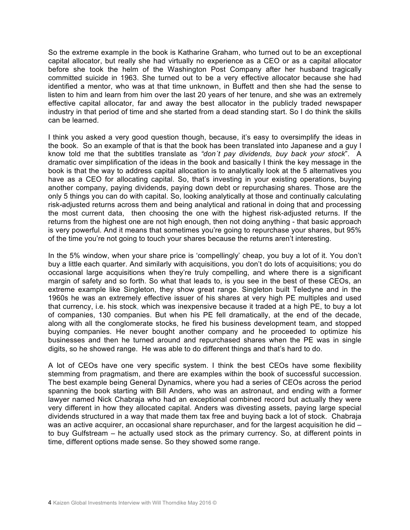So the extreme example in the book is Katharine Graham, who turned out to be an exceptional capital allocator, but really she had virtually no experience as a CEO or as a capital allocator before she took the helm of the Washington Post Company after her husband tragically committed suicide in 1963. She turned out to be a very effective allocator because she had identified a mentor, who was at that time unknown, in Buffett and then she had the sense to listen to him and learn from him over the last 20 years of her tenure, and she was an extremely effective capital allocator, far and away the best allocator in the publicly traded newspaper industry in that period of time and she started from a dead standing start. So I do think the skills can be learned.

I think you asked a very good question though, because, it's easy to oversimplify the ideas in the book. So an example of that is that the book has been translated into Japanese and a guy I know told me that the subtitles translate as *"don´t pay dividends, buy back your stock*". A dramatic over simplification of the ideas in the book and basically I think the key message in the book is that the way to address capital allocation is to analytically look at the 5 alternatives you have as a CEO for allocating capital. So, that's investing in your existing operations, buying another company, paying dividends, paying down debt or repurchasing shares. Those are the only 5 things you can do with capital. So, looking analytically at those and continually calculating risk-adjusted returns across them and being analytical and rational in doing that and processing the most current data, then choosing the one with the highest risk-adjusted returns. If the returns from the highest one are not high enough, then not doing anything - that basic approach is very powerful. And it means that sometimes you're going to repurchase your shares, but 95% of the time you're not going to touch your shares because the returns aren't interesting.

In the 5% window, when your share price is 'compellingly' cheap, you buy a lot of it. You don't buy a little each quarter. And similarly with acquisitions, you don't do lots of acquisitions; you do occasional large acquisitions when they're truly compelling, and where there is a significant margin of safety and so forth. So what that leads to, is you see in the best of these CEOs, an extreme example like Singleton, they show great range. Singleton built Teledyne and in the 1960s he was an extremely effective issuer of his shares at very high PE multiples and used that currency, i.e. his stock, which was inexpensive because it traded at a high PE, to buy a lot of companies, 130 companies. But when his PE fell dramatically, at the end of the decade, along with all the conglomerate stocks, he fired his business development team, and stopped buying companies. He never bought another company and he proceeded to optimize his businesses and then he turned around and repurchased shares when the PE was in single digits, so he showed range. He was able to do different things and that's hard to do.

A lot of CEOs have one very specific system. I think the best CEOs have some flexibility stemming from pragmatism, and there are examples within the book of successful succession. The best example being General Dynamics, where you had a series of CEOs across the period spanning the book starting with Bill Anders, who was an astronaut, and ending with a former lawyer named Nick Chabraja who had an exceptional combined record but actually they were very different in how they allocated capital. Anders was divesting assets, paying large special dividends structured in a way that made them tax free and buying back a lot of stock. Chabraja was an active acquirer, an occasional share repurchaser, and for the largest acquisition he did to buy Gulfstream – he actually used stock as the primary currency. So, at different points in time, different options made sense. So they showed some range.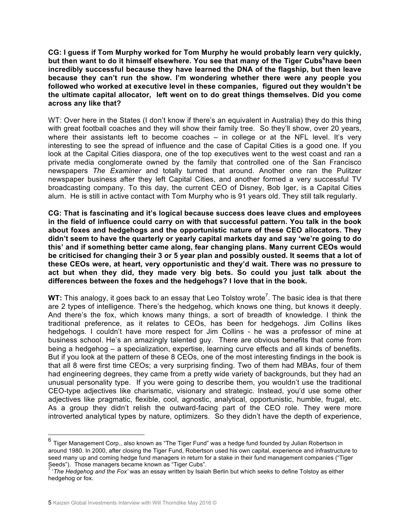**CG: I guess if Tom Murphy worked for Tom Murphy he would probably learn very quickly,** but then want to do it himself elsewhere. You see that many of the Tiger Cubs<sup>6</sup>have been **incredibly successful because they have learned the DNA of the flagship, but then leave because they can't run the show. I'm wondering whether there were any people you followed who worked at executive level in these companies, figured out they wouldn't be the ultimate capital allocator, left went on to do great things themselves. Did you come across any like that?**

WT: Over here in the States (I don't know if there's an equivalent in Australia) they do this thing with great football coaches and they will show their family tree. So they'll show, over 20 years, where their assistants left to become coaches  $-$  in college or at the NFL level. It's very interesting to see the spread of influence and the case of Capital Cities is a good one. If you look at the Capital Cities diaspora, one of the top executives went to the west coast and ran a private media conglomerate owned by the family that controlled one of the San Francisco newspapers *The Examiner* and totally turned that around. Another one ran the Pulitzer newspaper business after they left Capital Cities, and another formed a very successful TV broadcasting company. To this day, the current CEO of Disney, Bob Iger, is a Capital Cities alum. He is still in active contact with Tom Murphy who is 91 years old. They still talk regularly.

**CG: That is fascinating and it's logical because success does leave clues and employees in the field of influence could carry on with that successful pattern. You talk in the book about foxes and hedgehogs and the opportunistic nature of these CEO allocators. They didn't seem to have the quarterly or yearly capital markets day and say 'we're going to do this' and if something better came along, fear changing plans. Many current CEOs would be criticised for changing their 3 or 5 year plan and possibly ousted. It seems that a lot of these CEOs were, at heart, very opportunistic and they'd wait. There was no pressure to act but when they did, they made very big bets. So could you just talk about the differences between the foxes and the hedgehogs? I love that in the book.** 

**WT:** This analogy, it goes back to an essay that Leo Tolstoy wrote<sup>7</sup>. The basic idea is that there are 2 types of intelligence. There's the hedgehog, which knows one thing, but knows it deeply. And there's the fox, which knows many things, a sort of breadth of knowledge. I think the traditional preference, as it relates to CEOs, has been for hedgehogs. Jim Collins likes hedgehogs. I couldn't have more respect for Jim Collins - he was a professor of mine at business school. He's an amazingly talented guy. There are obvious benefits that come from being a hedgehog – a specialization, expertise, learning curve effects and all kinds of benefits. But if you look at the pattern of these 8 CEOs, one of the most interesting findings in the book is that all 8 were first time CEOs; a very surprising finding. Two of them had MBAs, four of them had engineering degrees, they came from a pretty wide variety of backgrounds, but they had an unusual personality type. If you were going to describe them, you wouldn't use the traditional CEO-type adjectives like charismatic, visionary and strategic. Instead, you'd use some other adjectives like pragmatic, flexible, cool, agnostic, analytical, opportunistic, humble, frugal, etc. As a group they didn't relish the outward-facing part of the CEO role. They were more introverted analytical types by nature, optimizers. So they didn't have the depth of experience,

 $^6$  Tiger Management Corp., also known as "The Tiger Fund" was a hedge fund founded by Julian Robertson in around 1980. In 2000, after closing the Tiger Fund, Robertson used his own capital, experience and infrastructure to seed many up and coming hedge fund managers in return for a stake in their fund management companies ("Tiger Seeds"). Those managers became known as "Tiger Cubs".

<sup>7</sup> '*The Hedgehog and the Fox'* was an essay written by Isaiah Berlin but which seeks to define Tolstoy as either hedgehog or fox.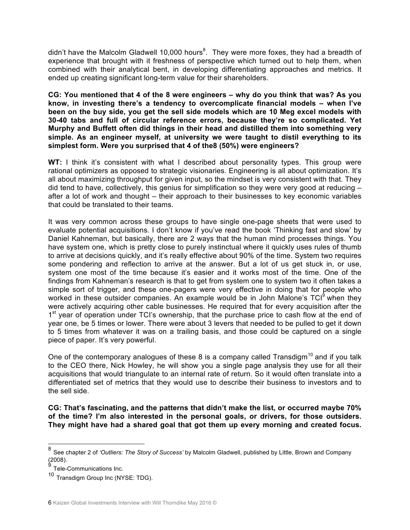didn't have the Malcolm Gladwell 10,000 hours<sup>8</sup>. They were more foxes, they had a breadth of experience that brought with it freshness of perspective which turned out to help them, when combined with their analytical bent, in developing differentiating approaches and metrics. It ended up creating significant long-term value for their shareholders.

**CG: You mentioned that 4 of the 8 were engineers – why do you think that was? As you know, in investing there's a tendency to overcomplicate financial models – when I've been on the buy side, you get the sell side models which are 10 Meg excel models with 30-40 tabs and full of circular reference errors, because they're so complicated. Yet Murphy and Buffett often did things in their head and distilled them into something very simple. As an engineer myself, at university we were taught to distil everything to its simplest form. Were you surprised that 4 of the8 (50%) were engineers?** 

**WT:** I think it's consistent with what I described about personality types. This group were rational optimizers as opposed to strategic visionaries. Engineering is all about optimization. It's all about maximizing throughput for given input, so the mindset is very consistent with that. They did tend to have, collectively, this genius for simplification so they were very good at reducing – after a lot of work and thought – their approach to their businesses to key economic variables that could be translated to their teams.

It was very common across these groups to have single one-page sheets that were used to evaluate potential acquisitions. I don't know if you've read the book 'Thinking fast and slow' by Daniel Kahneman, but basically, there are 2 ways that the human mind processes things. You have system one, which is pretty close to purely instinctual where it quickly uses rules of thumb to arrive at decisions quickly, and it's really effective about 90% of the time. System two requires some pondering and reflection to arrive at the answer. But a lot of us get stuck in, or use, system one most of the time because it's easier and it works most of the time. One of the findings from Kahneman's research is that to get from system one to system two it often takes a simple sort of trigger, and these one-pagers were very effective in doing that for people who worked in these outsider companies. An example would be in John Malone's  $TCI<sup>9</sup>$  when they were actively acquiring other cable businesses. He required that for every acquisition after the 1<sup>st</sup> year of operation under TCI's ownership, that the purchase price to cash flow at the end of year one, be 5 times or lower. There were about 3 levers that needed to be pulled to get it down to 5 times from whatever it was on a trailing basis, and those could be captured on a single piece of paper. It's very powerful.

One of the contemporary analogues of these 8 is a company called Transdigm<sup>10</sup> and if you talk to the CEO there, Nick Howley, he will show you a single page analysis they use for all their acquisitions that would triangulate to an internal rate of return. So it would often translate into a differentiated set of metrics that they would use to describe their business to investors and to the sell side.

**CG: That's fascinating, and the patterns that didn't make the list, or occurred maybe 70% of the time? I'm also interested in the personal goals, or drivers, for those outsiders. They might have had a shared goal that got them up every morning and created focus.** 

<sup>8</sup> See chapter 2 of *'Outliers: The Story of Success'* by Malcolm Gladwell, published by Little, Brown and Company<br>(2008).<br>9 Tele Ostenbury in the Story of Success' by Malcolm Gladwell, published by Little, Brown and Compan

Tele-Communications Inc.

<sup>10</sup> Transdigm Group Inc (NYSE: TDG).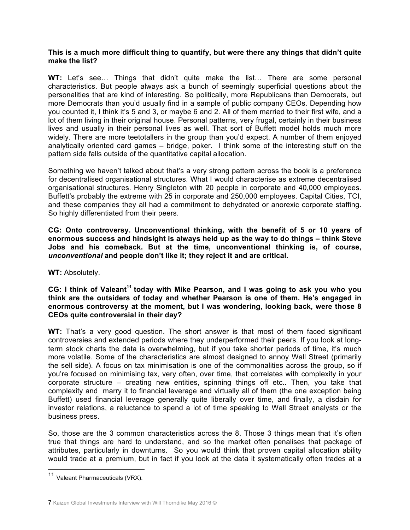#### **This is a much more difficult thing to quantify, but were there any things that didn't quite make the list?**

**WT:** Let's see… Things that didn't quite make the list… There are some personal characteristics. But people always ask a bunch of seemingly superficial questions about the personalities that are kind of interesting. So politically, more Republicans than Democrats, but more Democrats than you'd usually find in a sample of public company CEOs. Depending how you counted it, I think it's 5 and 3, or maybe 6 and 2. All of them married to their first wife, and a lot of them living in their original house. Personal patterns, very frugal, certainly in their business lives and usually in their personal lives as well. That sort of Buffett model holds much more widely. There are more teetotallers in the group than you'd expect. A number of them enjoyed analytically oriented card games – bridge, poker. I think some of the interesting stuff on the pattern side falls outside of the quantitative capital allocation.

Something we haven't talked about that's a very strong pattern across the book is a preference for decentralised organisational structures. What I would characterise as extreme decentralised organisational structures. Henry Singleton with 20 people in corporate and 40,000 employees. Buffett's probably the extreme with 25 in corporate and 250,000 employees. Capital Cities, TCI, and these companies they all had a commitment to dehydrated or anorexic corporate staffing. So highly differentiated from their peers.

**CG: Onto controversy. Unconventional thinking, with the benefit of 5 or 10 years of enormous success and hindsight is always held up as the way to do things – think Steve Jobs and his comeback. But at the time, unconventional thinking is, of course,**  *unconventional* **and people don't like it; they reject it and are critical.** 

**WT:** Absolutely.

#### **CG: I think of Valeant<sup>11</sup> today with Mike Pearson, and I was going to ask you who you think are the outsiders of today and whether Pearson is one of them. He's engaged in enormous controversy at the moment, but I was wondering, looking back, were those 8 CEOs quite controversial in their day?**

**WT:** That's a very good question. The short answer is that most of them faced significant controversies and extended periods where they underperformed their peers. If you look at longterm stock charts the data is overwhelming, but if you take shorter periods of time, it's much more volatile. Some of the characteristics are almost designed to annoy Wall Street (primarily the sell side). A focus on tax minimisation is one of the commonalities across the group, so if you're focused on minimising tax, very often, over time, that correlates with complexity in your corporate structure – creating new entities, spinning things off etc.. Then, you take that complexity and marry it to financial leverage and virtually all of them (the one exception being Buffett) used financial leverage generally quite liberally over time, and finally, a disdain for investor relations, a reluctance to spend a lot of time speaking to Wall Street analysts or the business press.

So, those are the 3 common characteristics across the 8. Those 3 things mean that it's often true that things are hard to understand, and so the market often penalises that package of attributes, particularly in downturns. So you would think that proven capital allocation ability would trade at a premium, but in fact if you look at the data it systematically often trades at a

 <sup>11</sup> Valeant Pharmaceuticals (VRX).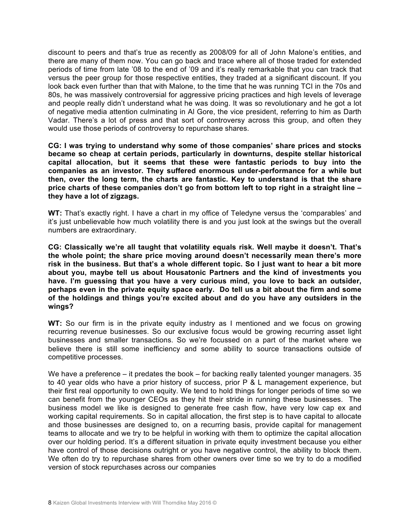discount to peers and that's true as recently as 2008/09 for all of John Malone's entities, and there are many of them now. You can go back and trace where all of those traded for extended periods of time from late '08 to the end of '09 and it's really remarkable that you can track that versus the peer group for those respective entities, they traded at a significant discount. If you look back even further than that with Malone, to the time that he was running TCI in the 70s and 80s, he was massively controversial for aggressive pricing practices and high levels of leverage and people really didn't understand what he was doing. It was so revolutionary and he got a lot of negative media attention culminating in Al Gore, the vice president, referring to him as Darth Vadar. There's a lot of press and that sort of controversy across this group, and often they would use those periods of controversy to repurchase shares.

**CG: I was trying to understand why some of those companies' share prices and stocks became so cheap at certain periods, particularly in downturns, despite stellar historical capital allocation, but it seems that these were fantastic periods to buy into the companies as an investor. They suffered enormous under-performance for a while but then, over the long term, the charts are fantastic. Key to understand is that the share price charts of these companies don't go from bottom left to top right in a straight line – they have a lot of zigzags.**

**WT:** That's exactly right. I have a chart in my office of Teledyne versus the 'comparables' and it's just unbelievable how much volatility there is and you just look at the swings but the overall numbers are extraordinary.

**CG: Classically we're all taught that volatility equals risk. Well maybe it doesn't. That's the whole point; the share price moving around doesn't necessarily mean there's more risk in the business. But that's a whole different topic. So I just want to hear a bit more about you, maybe tell us about Housatonic Partners and the kind of investments you have. I'm guessing that you have a very curious mind, you love to back an outsider, perhaps even in the private equity space early. Do tell us a bit about the firm and some of the holdings and things you're excited about and do you have any outsiders in the wings?**

**WT:** So our firm is in the private equity industry as I mentioned and we focus on growing recurring revenue businesses. So our exclusive focus would be growing recurring asset light businesses and smaller transactions. So we're focussed on a part of the market where we believe there is still some inefficiency and some ability to source transactions outside of competitive processes.

We have a preference – it predates the book – for backing really talented younger managers. 35 to 40 year olds who have a prior history of success, prior P & L management experience, but their first real opportunity to own equity. We tend to hold things for longer periods of time so we can benefit from the younger CEOs as they hit their stride in running these businesses. The business model we like is designed to generate free cash flow, have very low cap ex and working capital requirements. So in capital allocation, the first step is to have capital to allocate and those businesses are designed to, on a recurring basis, provide capital for management teams to allocate and we try to be helpful in working with them to optimize the capital allocation over our holding period. It's a different situation in private equity investment because you either have control of those decisions outright or you have negative control, the ability to block them. We often do try to repurchase shares from other owners over time so we try to do a modified version of stock repurchases across our companies